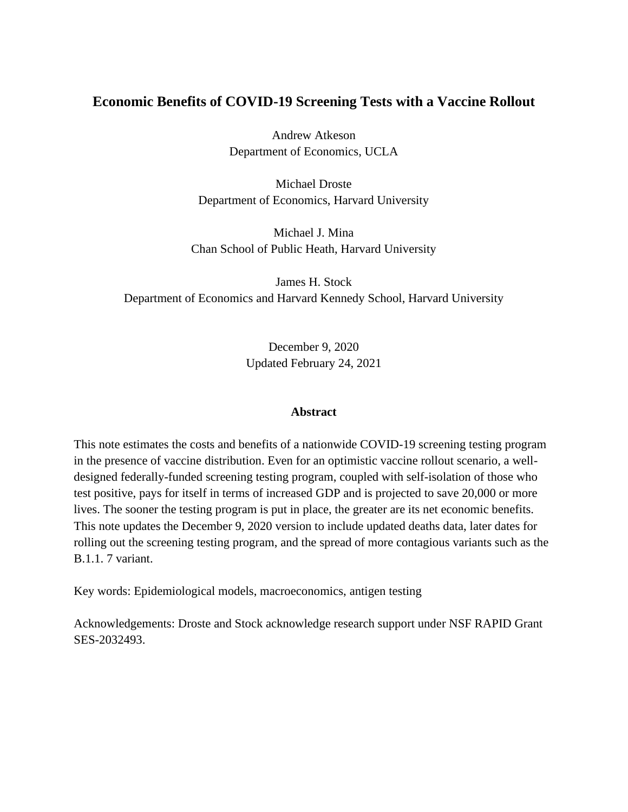## **Economic Benefits of COVID-19 Screening Tests with a Vaccine Rollout**

Andrew Atkeson Department of Economics, UCLA

Michael Droste Department of Economics, Harvard University

Michael J. Mina Chan School of Public Heath, Harvard University

James H. Stock Department of Economics and Harvard Kennedy School, Harvard University

> December 9, 2020 Updated February 24, 2021

#### **Abstract**

This note estimates the costs and benefits of a nationwide COVID-19 screening testing program in the presence of vaccine distribution. Even for an optimistic vaccine rollout scenario, a welldesigned federally-funded screening testing program, coupled with self-isolation of those who test positive, pays for itself in terms of increased GDP and is projected to save 20,000 or more lives. The sooner the testing program is put in place, the greater are its net economic benefits. This note updates the December 9, 2020 version to include updated deaths data, later dates for rolling out the screening testing program, and the spread of more contagious variants such as the B.1.1. 7 variant.

Key words: Epidemiological models, macroeconomics, antigen testing

Acknowledgements: Droste and Stock acknowledge research support under NSF RAPID Grant SES-2032493.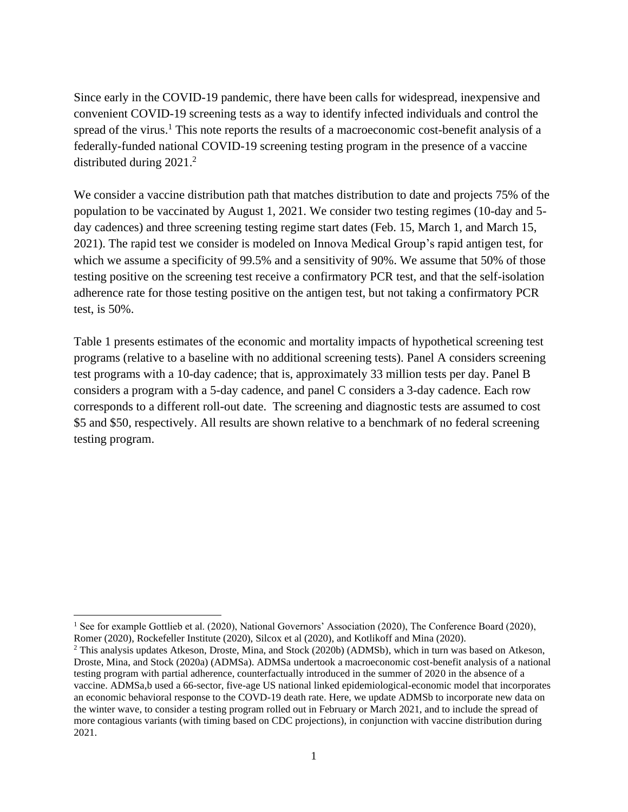Since early in the COVID-19 pandemic, there have been calls for widespread, inexpensive and convenient COVID-19 screening tests as a way to identify infected individuals and control the spread of the virus.<sup>1</sup> This note reports the results of a macroeconomic cost-benefit analysis of a federally-funded national COVID-19 screening testing program in the presence of a vaccine distributed during 2021.<sup>2</sup>

We consider a vaccine distribution path that matches distribution to date and projects 75% of the population to be vaccinated by August 1, 2021. We consider two testing regimes (10-day and 5 day cadences) and three screening testing regime start dates (Feb. 15, March 1, and March 15, 2021). The rapid test we consider is modeled on Innova Medical Group's rapid antigen test, for which we assume a specificity of 99.5% and a sensitivity of 90%. We assume that 50% of those testing positive on the screening test receive a confirmatory PCR test, and that the self-isolation adherence rate for those testing positive on the antigen test, but not taking a confirmatory PCR test, is 50%.

Table 1 presents estimates of the economic and mortality impacts of hypothetical screening test programs (relative to a baseline with no additional screening tests). Panel A considers screening test programs with a 10-day cadence; that is, approximately 33 million tests per day. Panel B considers a program with a 5-day cadence, and panel C considers a 3-day cadence. Each row corresponds to a different roll-out date. The screening and diagnostic tests are assumed to cost \$5 and \$50, respectively. All results are shown relative to a benchmark of no federal screening testing program.

<sup>&</sup>lt;sup>1</sup> See for example Gottlieb et al. (2020), National Governors' Association (2020), The Conference Board (2020), Romer (2020), Rockefeller Institute (2020), Silcox et al (2020), and Kotlikoff and Mina (2020).

<sup>&</sup>lt;sup>2</sup> This analysis updates Atkeson, Droste, Mina, and Stock (2020b) (ADMSb), which in turn was based on Atkeson, Droste, Mina, and Stock (2020a) (ADMSa). ADMSa undertook a macroeconomic cost-benefit analysis of a national testing program with partial adherence, counterfactually introduced in the summer of 2020 in the absence of a vaccine. ADMSa,b used a 66-sector, five-age US national linked epidemiological-economic model that incorporates an economic behavioral response to the COVD-19 death rate. Here, we update ADMSb to incorporate new data on the winter wave, to consider a testing program rolled out in February or March 2021, and to include the spread of more contagious variants (with timing based on CDC projections), in conjunction with vaccine distribution during 2021.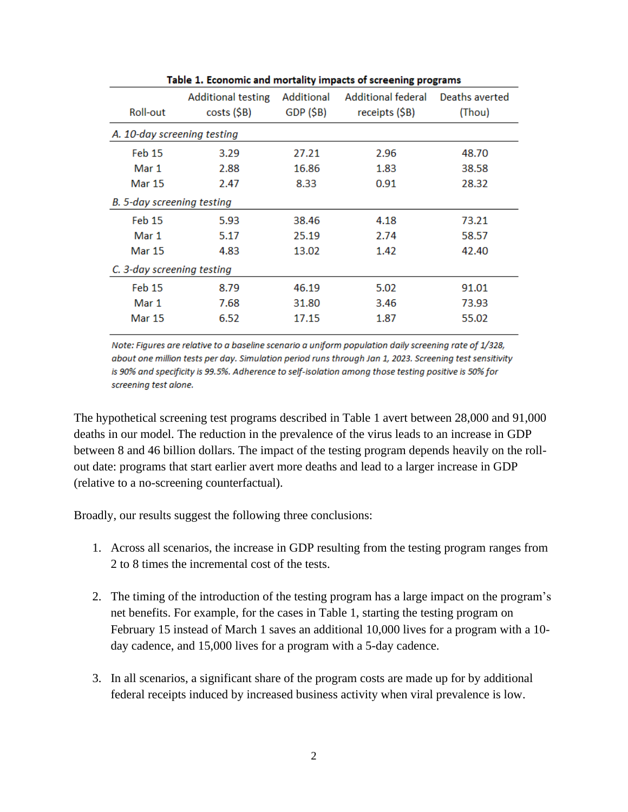| Roll-out                    | <b>Additional testing</b><br>$costs$ ( $$B$ ) | Additional<br>GDP(SB) | Additional federal<br>receipts (\$B) | Deaths averted<br>(Thou) |
|-----------------------------|-----------------------------------------------|-----------------------|--------------------------------------|--------------------------|
| A. 10-day screening testing |                                               |                       |                                      |                          |
| Feb 15                      | 3.29                                          | 27.21                 | 2.96                                 | 48.70                    |
| Mar 1                       | 2.88                                          | 16.86                 | 1.83                                 | 38.58                    |
| <b>Mar 15</b>               | 2.47                                          | 8.33                  | 0.91                                 | 28.32                    |
| B. 5-day screening testing  |                                               |                       |                                      |                          |
| Feb 15                      | 5.93                                          | 38.46                 | 4.18                                 | 73.21                    |
| Mar 1                       | 5.17                                          | 25.19                 | 2.74                                 | 58.57                    |
| <b>Mar 15</b>               | 4.83                                          | 13.02                 | 1.42                                 | 42.40                    |
| C. 3-day screening testing  |                                               |                       |                                      |                          |
| <b>Feb 15</b>               | 8.79                                          | 46.19                 | 5.02                                 | 91.01                    |
| Mar 1                       | 7.68                                          | 31.80                 | 3.46                                 | 73.93                    |
| <b>Mar 15</b>               | 6.52                                          | 17.15                 | 1.87                                 | 55.02                    |

Table 1. Economic and mortality impacts of screening programs

Note: Figures are relative to a baseline scenario a uniform population daily screening rate of 1/328, about one million tests per day. Simulation period runs through Jan 1, 2023. Screening test sensitivity is 90% and specificity is 99.5%. Adherence to self-isolation among those testing positive is 50% for screening test alone.

The hypothetical screening test programs described in Table 1 avert between 28,000 and 91,000 deaths in our model. The reduction in the prevalence of the virus leads to an increase in GDP between 8 and 46 billion dollars. The impact of the testing program depends heavily on the rollout date: programs that start earlier avert more deaths and lead to a larger increase in GDP (relative to a no-screening counterfactual).

Broadly, our results suggest the following three conclusions:

- 1. Across all scenarios, the increase in GDP resulting from the testing program ranges from 2 to 8 times the incremental cost of the tests.
- 2. The timing of the introduction of the testing program has a large impact on the program's net benefits. For example, for the cases in Table 1, starting the testing program on February 15 instead of March 1 saves an additional 10,000 lives for a program with a 10 day cadence, and 15,000 lives for a program with a 5-day cadence.
- 3. In all scenarios, a significant share of the program costs are made up for by additional federal receipts induced by increased business activity when viral prevalence is low.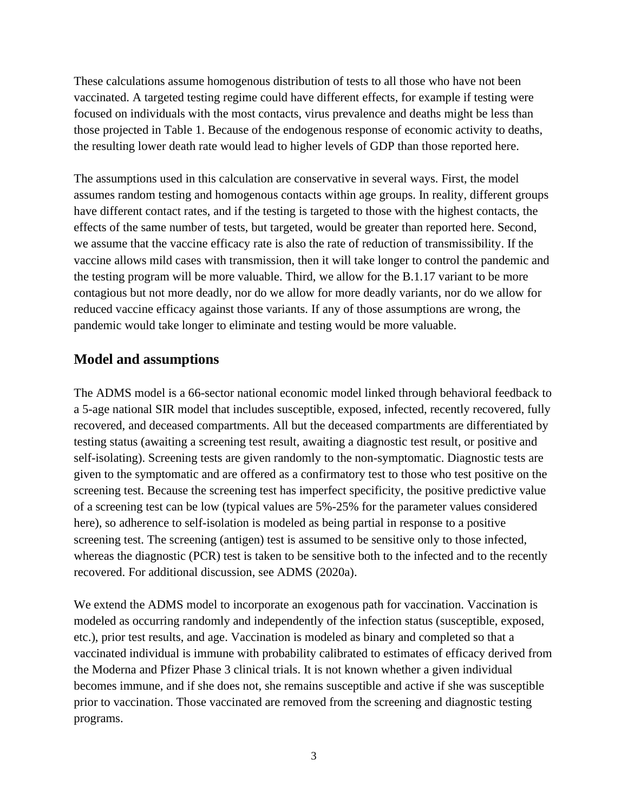These calculations assume homogenous distribution of tests to all those who have not been vaccinated. A targeted testing regime could have different effects, for example if testing were focused on individuals with the most contacts, virus prevalence and deaths might be less than those projected in Table 1. Because of the endogenous response of economic activity to deaths, the resulting lower death rate would lead to higher levels of GDP than those reported here.

The assumptions used in this calculation are conservative in several ways. First, the model assumes random testing and homogenous contacts within age groups. In reality, different groups have different contact rates, and if the testing is targeted to those with the highest contacts, the effects of the same number of tests, but targeted, would be greater than reported here. Second, we assume that the vaccine efficacy rate is also the rate of reduction of transmissibility. If the vaccine allows mild cases with transmission, then it will take longer to control the pandemic and the testing program will be more valuable. Third, we allow for the B.1.17 variant to be more contagious but not more deadly, nor do we allow for more deadly variants, nor do we allow for reduced vaccine efficacy against those variants. If any of those assumptions are wrong, the pandemic would take longer to eliminate and testing would be more valuable.

### **Model and assumptions**

The ADMS model is a 66-sector national economic model linked through behavioral feedback to a 5-age national SIR model that includes susceptible, exposed, infected, recently recovered, fully recovered, and deceased compartments. All but the deceased compartments are differentiated by testing status (awaiting a screening test result, awaiting a diagnostic test result, or positive and self-isolating). Screening tests are given randomly to the non-symptomatic. Diagnostic tests are given to the symptomatic and are offered as a confirmatory test to those who test positive on the screening test. Because the screening test has imperfect specificity, the positive predictive value of a screening test can be low (typical values are 5%-25% for the parameter values considered here), so adherence to self-isolation is modeled as being partial in response to a positive screening test. The screening (antigen) test is assumed to be sensitive only to those infected, whereas the diagnostic (PCR) test is taken to be sensitive both to the infected and to the recently recovered. For additional discussion, see ADMS (2020a).

We extend the ADMS model to incorporate an exogenous path for vaccination. Vaccination is modeled as occurring randomly and independently of the infection status (susceptible, exposed, etc.), prior test results, and age. Vaccination is modeled as binary and completed so that a vaccinated individual is immune with probability calibrated to estimates of efficacy derived from the Moderna and Pfizer Phase 3 clinical trials. It is not known whether a given individual becomes immune, and if she does not, she remains susceptible and active if she was susceptible prior to vaccination. Those vaccinated are removed from the screening and diagnostic testing programs.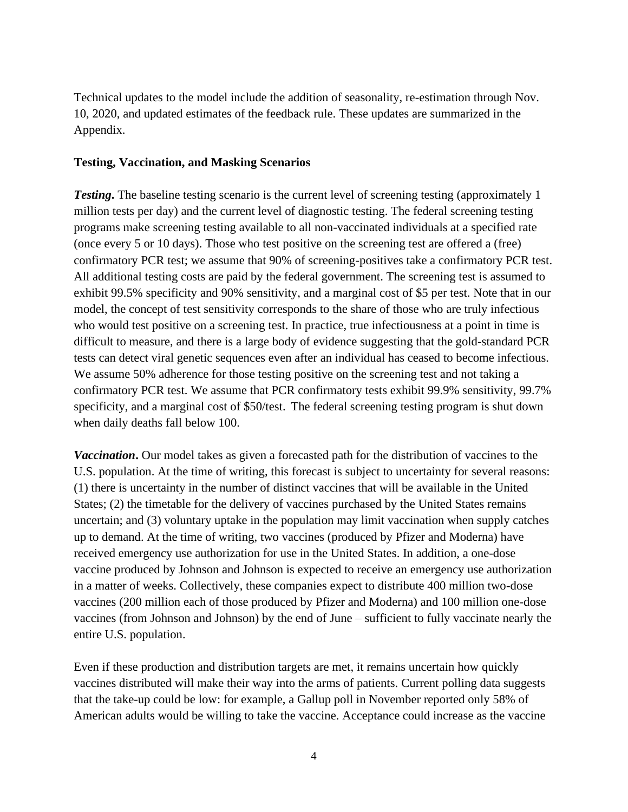Technical updates to the model include the addition of seasonality, re-estimation through Nov. 10, 2020, and updated estimates of the feedback rule. These updates are summarized in the Appendix.

#### **Testing, Vaccination, and Masking Scenarios**

*Testing*. The baseline testing scenario is the current level of screening testing (approximately 1) million tests per day) and the current level of diagnostic testing. The federal screening testing programs make screening testing available to all non-vaccinated individuals at a specified rate (once every 5 or 10 days). Those who test positive on the screening test are offered a (free) confirmatory PCR test; we assume that 90% of screening-positives take a confirmatory PCR test. All additional testing costs are paid by the federal government. The screening test is assumed to exhibit 99.5% specificity and 90% sensitivity, and a marginal cost of \$5 per test. Note that in our model, the concept of test sensitivity corresponds to the share of those who are truly infectious who would test positive on a screening test. In practice, true infectiousness at a point in time is difficult to measure, and there is a large body of evidence suggesting that the gold-standard PCR tests can detect viral genetic sequences even after an individual has ceased to become infectious. We assume 50% adherence for those testing positive on the screening test and not taking a confirmatory PCR test. We assume that PCR confirmatory tests exhibit 99.9% sensitivity, 99.7% specificity, and a marginal cost of \$50/test. The federal screening testing program is shut down when daily deaths fall below 100.

*Vaccination***.** Our model takes as given a forecasted path for the distribution of vaccines to the U.S. population. At the time of writing, this forecast is subject to uncertainty for several reasons: (1) there is uncertainty in the number of distinct vaccines that will be available in the United States; (2) the timetable for the delivery of vaccines purchased by the United States remains uncertain; and (3) voluntary uptake in the population may limit vaccination when supply catches up to demand. At the time of writing, two vaccines (produced by Pfizer and Moderna) have received emergency use authorization for use in the United States. In addition, a one-dose vaccine produced by Johnson and Johnson is expected to receive an emergency use authorization in a matter of weeks. Collectively, these companies expect to distribute 400 million two-dose vaccines (200 million each of those produced by Pfizer and Moderna) and 100 million one-dose vaccines (from Johnson and Johnson) by the end of June – sufficient to fully vaccinate nearly the entire U.S. population.

Even if these production and distribution targets are met, it remains uncertain how quickly vaccines distributed will make their way into the arms of patients. Current polling data suggests that the take-up could be low: for example, a Gallup poll in November reported only 58% of American adults would be willing to take the vaccine. Acceptance could increase as the vaccine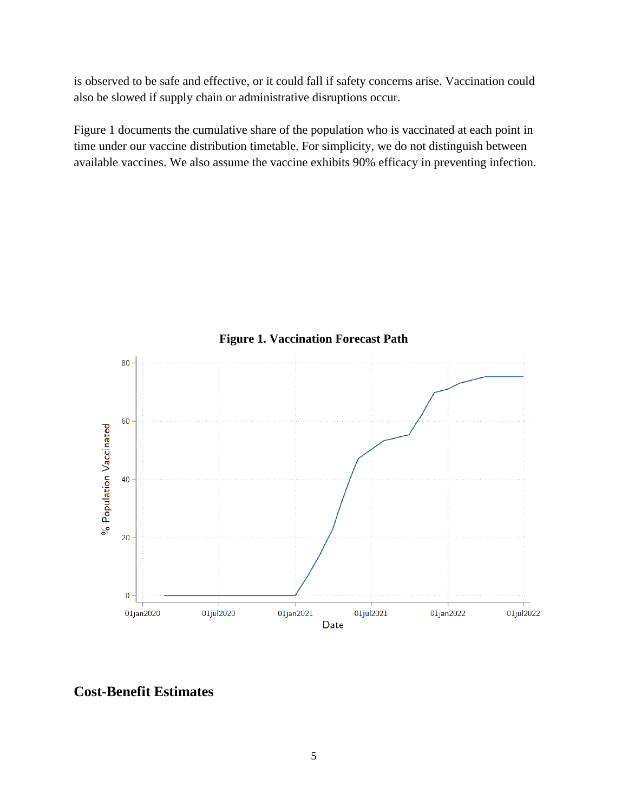is observed to be safe and effective, or it could fall if safety concerns arise. Vaccination could also be slowed if supply chain or administrative disruptions occur.

Figure 1 documents the cumulative share of the population who is vaccinated at each point in time under our vaccine distribution timetable. For simplicity, we do not distinguish between available vaccines. We also assume the vaccine exhibits 90% efficacy in preventing infection.



### **Figure 1. Vaccination Forecast Path**

**Cost-Benefit Estimates**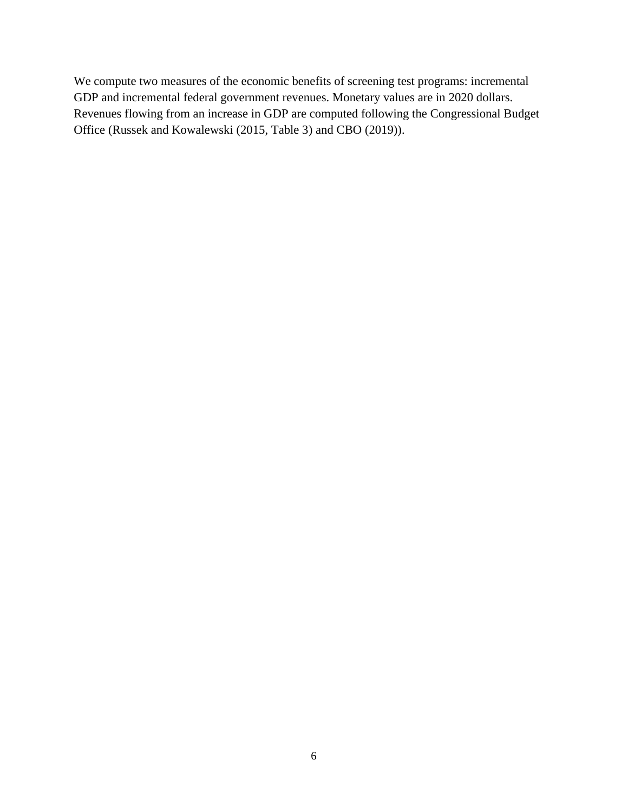We compute two measures of the economic benefits of screening test programs: incremental GDP and incremental federal government revenues. Monetary values are in 2020 dollars. Revenues flowing from an increase in GDP are computed following the Congressional Budget Office (Russek and Kowalewski (2015, Table 3) and CBO (2019)).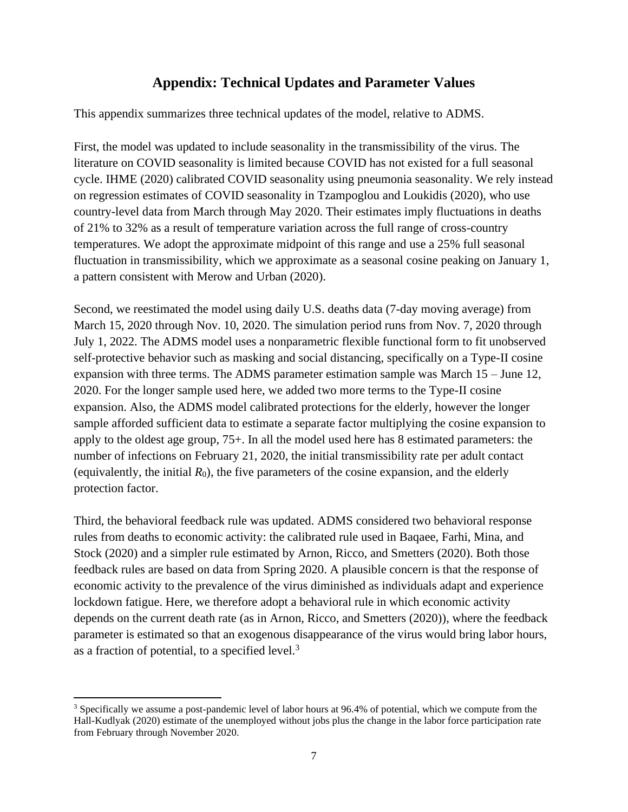# **Appendix: Technical Updates and Parameter Values**

This appendix summarizes three technical updates of the model, relative to ADMS.

First, the model was updated to include seasonality in the transmissibility of the virus. The literature on COVID seasonality is limited because COVID has not existed for a full seasonal cycle. IHME (2020) calibrated COVID seasonality using pneumonia seasonality. We rely instead on regression estimates of COVID seasonality in Tzampoglou and Loukidis (2020), who use country-level data from March through May 2020. Their estimates imply fluctuations in deaths of 21% to 32% as a result of temperature variation across the full range of cross-country temperatures. We adopt the approximate midpoint of this range and use a 25% full seasonal fluctuation in transmissibility, which we approximate as a seasonal cosine peaking on January 1, a pattern consistent with Merow and Urban (2020).

Second, we reestimated the model using daily U.S. deaths data (7-day moving average) from March 15, 2020 through Nov. 10, 2020. The simulation period runs from Nov. 7, 2020 through July 1, 2022. The ADMS model uses a nonparametric flexible functional form to fit unobserved self-protective behavior such as masking and social distancing, specifically on a Type-II cosine expansion with three terms. The ADMS parameter estimation sample was March 15 – June 12, 2020. For the longer sample used here, we added two more terms to the Type-II cosine expansion. Also, the ADMS model calibrated protections for the elderly, however the longer sample afforded sufficient data to estimate a separate factor multiplying the cosine expansion to apply to the oldest age group, 75+. In all the model used here has 8 estimated parameters: the number of infections on February 21, 2020, the initial transmissibility rate per adult contact (equivalently, the initial  $R_0$ ), the five parameters of the cosine expansion, and the elderly protection factor.

Third, the behavioral feedback rule was updated. ADMS considered two behavioral response rules from deaths to economic activity: the calibrated rule used in Baqaee, Farhi, Mina, and Stock (2020) and a simpler rule estimated by Arnon, Ricco, and Smetters (2020). Both those feedback rules are based on data from Spring 2020. A plausible concern is that the response of economic activity to the prevalence of the virus diminished as individuals adapt and experience lockdown fatigue. Here, we therefore adopt a behavioral rule in which economic activity depends on the current death rate (as in Arnon, Ricco, and Smetters (2020)), where the feedback parameter is estimated so that an exogenous disappearance of the virus would bring labor hours, as a fraction of potential, to a specified level. $3$ 

<sup>3</sup> Specifically we assume a post-pandemic level of labor hours at 96.4% of potential, which we compute from the Hall-Kudlyak (2020) estimate of the unemployed without jobs plus the change in the labor force participation rate from February through November 2020.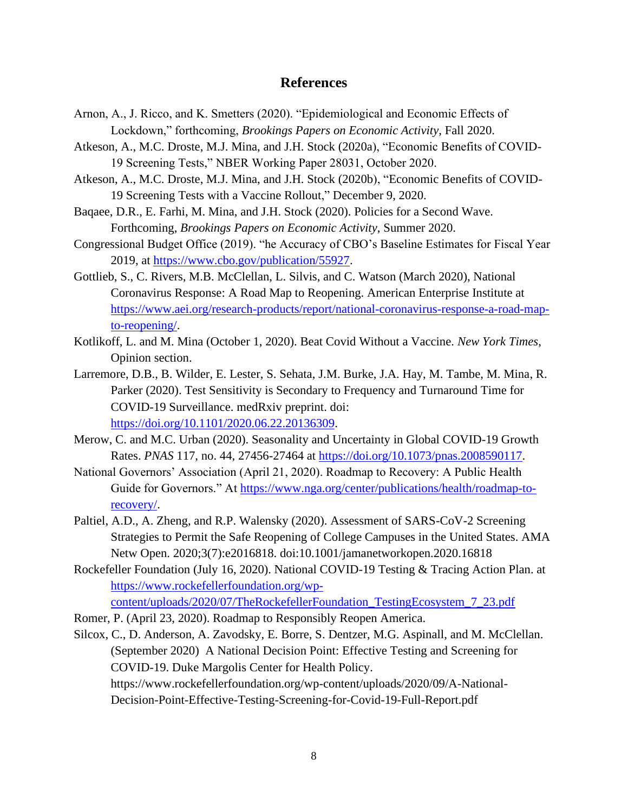#### **References**

- Arnon, A., J. Ricco, and K. Smetters (2020). "Epidemiological and Economic Effects of Lockdown," forthcoming, *Brookings Papers on Economic Activity*, Fall 2020.
- Atkeson, A., M.C. Droste, M.J. Mina, and J.H. Stock (2020a), "Economic Benefits of COVID-19 Screening Tests," NBER Working Paper 28031, October 2020.
- Atkeson, A., M.C. Droste, M.J. Mina, and J.H. Stock (2020b), "Economic Benefits of COVID-19 Screening Tests with a Vaccine Rollout," December 9, 2020.
- Baqaee, D.R., E. Farhi, M. Mina, and J.H. Stock (2020). Policies for a Second Wave. Forthcoming, *Brookings Papers on Economic Activity*, Summer 2020.
- Congressional Budget Office (2019). "he Accuracy of CBO's Baseline Estimates for Fiscal Year 2019, at [https://www.cbo.gov/publication/55927.](https://www.cbo.gov/publication/55927)
- Gottlieb, S., C. Rivers, M.B. McClellan, L. Silvis, and C. Watson (March 2020), National Coronavirus Response: A Road Map to Reopening. American Enterprise Institute at [https://www.aei.org/research-products/report/national-coronavirus-response-a-road-map](https://www.aei.org/research-products/report/national-coronavirus-response-a-road-map-to-reopening/)[to-reopening/.](https://www.aei.org/research-products/report/national-coronavirus-response-a-road-map-to-reopening/)
- Kotlikoff, L. and M. Mina (October 1, 2020). Beat Covid Without a Vaccine. *New York Times*, Opinion section.
- Larremore, D.B., B. Wilder, E. Lester, S. Sehata, J.M. Burke, J.A. Hay, M. Tambe, M. Mina, R. Parker (2020). Test Sensitivity is Secondary to Frequency and Turnaround Time for COVID-19 Surveillance. medRxiv preprint. doi: [https://doi.org/10.1101/2020.06.22.20136309.](https://doi.org/10.1101/2020.06.22.20136309)
- Merow, C. and M.C. Urban (2020). Seasonality and Uncertainty in Global COVID-19 Growth Rates. *PNAS* 117, no. 44, 27456-27464 at [https://doi.org/10.1073/pnas.2008590117.](https://doi.org/10.1073/pnas.2008590117)
- National Governors' Association (April 21, 2020). Roadmap to Recovery: A Public Health Guide for Governors." At [https://www.nga.org/center/publications/health/roadmap-to](https://www.nga.org/center/publications/health/roadmap-to-recovery/)[recovery/.](https://www.nga.org/center/publications/health/roadmap-to-recovery/)
- Paltiel, A.D., A. Zheng, and R.P. Walensky (2020). Assessment of SARS-CoV-2 Screening Strategies to Permit the Safe Reopening of College Campuses in the United States. AMA Netw Open. 2020;3(7):e2016818. doi:10.1001/jamanetworkopen.2020.16818
- Rockefeller Foundation (July 16, 2020). National COVID-19 Testing & Tracing Action Plan. at [https://www.rockefellerfoundation.org/wp](https://www.rockefellerfoundation.org/wp-content/uploads/2020/07/TheRockefellerFoundation_TestingEcosystem_7_23.pdf)[content/uploads/2020/07/TheRockefellerFoundation\\_TestingEcosystem\\_7\\_23.pdf](https://www.rockefellerfoundation.org/wp-content/uploads/2020/07/TheRockefellerFoundation_TestingEcosystem_7_23.pdf)
- Romer, P. (April 23, 2020). Roadmap to Responsibly Reopen America.

Silcox, C., D. Anderson, A. Zavodsky, E. Borre, S. Dentzer, M.G. Aspinall, and M. McClellan. (September 2020) A National Decision Point: Effective Testing and Screening for COVID-19. Duke Margolis Center for Health Policy. https://www.rockefellerfoundation.org/wp-content/uploads/2020/09/A-National-Decision-Point-Effective-Testing-Screening-for-Covid-19-Full-Report.pdf